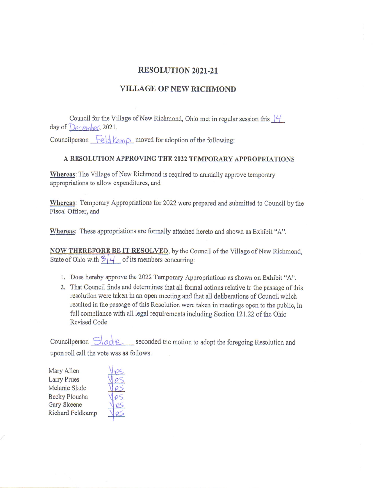## RESOLUTION 2O2I-2I

## VILLAGE OF NEW RICHMOND

Council for the Village of New Richmond, Ohio met in regular session this  $\frac{1}{4}$ day of  $Derens$ , 2021.

Councilperson  $\text{Feld } \text{Kam}$  moved for adoption of the following:

## A RESOLUTION APPROVING THE 2022 TEMPORARY APPROPRIATIONS

Whereas: The Village of New Richmond is required to annually approve temporary appropriations to allow expenditures, and

Whereas: Temporary Appropriations for 2022 were prepared and submitted to Council by the Fiscal Officer, and

Whereas: These appropriations are formally attached hereto and shown as Exhibit "A".

NOW THEREFORE BE IT RESOLVED, by the Council of the Village of New Richmond, State of Ohio with  $\frac{3}{4}$  of its members concurring:

- l. Does hereby approve the 2022 Temporary Appropriations as shown on Bxhibit "A",
- 2. That Council finds and determines that all formal actions relative to the passage of this resolution were taken in an open meeting and that all deliberations of Council which resulted in the passage of this Resolution were taken in meetings open to the public, in full compliance with all legal requirements including Section 121.22 of the Ohio Revised Code.

Councilperson  $\partial_a$   $\partial$  equilibration seconded the motion to adopt the foregoing Resolution and upon roll call the vote was as follows:

Mary Allen Larry Prues Melanie Slade Becky Ploucha Gary Skeene Richard Feldkamp

Les Res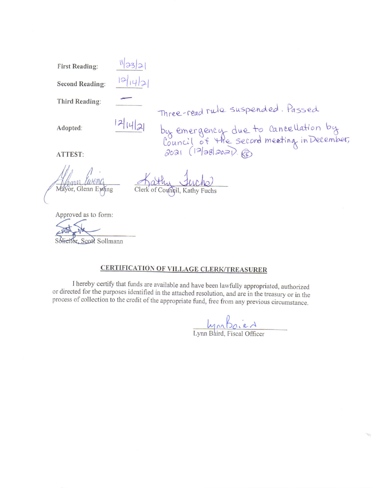**First Reading:** 

**Second Reading:** 

Third Reading:

Adopted:

 $12|14|2|$ 

 $11/33/2$ 

Three-read rule suspended. Passed<br>by emergency due to cancellation by<br>Council of the second meeting in December,<br>2021 (12/28/2021). @

ATTEST:

or, Glenn Ewing

Approved as to form:

Solieitor, Scott Sollmann

## **CERTIFICATION OF VILLAGE CLERK/TREASURER**

I hereby certify that funds are available and have been lawfully appropriated, authorized or directed for the purposes identified in the attached resolution, and are in the treasury or in the process of collection to the credit of the appropriate fund, free from any previous circumstance.

 $\frac{L_{\text{Y}} \wedge L_{\text{O}} \cdot e \wedge L_{\text{Y}}}{L_{\text{Y}} \wedge L_{\text{S}} \wedge L_{\text{S}} \wedge L_{\text{S}} \wedge L_{\text{S}} \wedge L_{\text{S}} \wedge L_{\text{S}} \wedge L_{\text{S}} \wedge L_{\text{S}} \wedge L_{\text{S}} \wedge L_{\text{S}} \wedge L_{\text{S}} \wedge L_{\text{S}} \wedge L_{\text{S}} \wedge L_{\text{S}} \wedge L_{\text{S}} \wedge L_{\text{S}} \wedge L_{\text{S}} \wedge L_{\text{S$